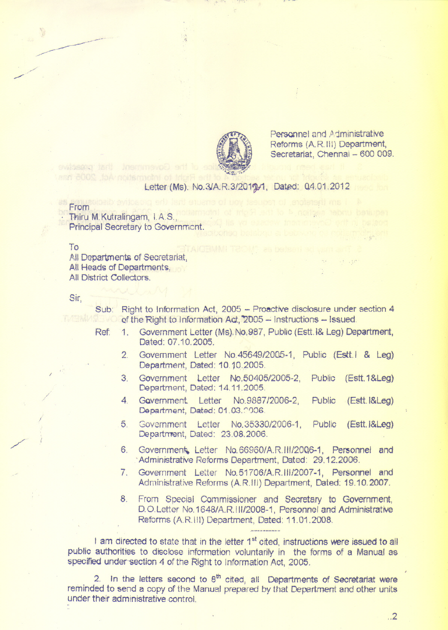

Personnel and Administrative Reforms(A.Rill) Department, Secretariat, Chennai - 600 009.

## Letter (Ms). No.3/A.R.3/2019/1, Dated: 04.01.2012

## From

~~

 $\overline{\phantom{a}}$ 

,/'" ,,//

> Thiru M.Kutralingam, I.A.S., Principal Secretary to Government.

evilaserer tadi insmimevoe

To

All Departments of Secretariat, All Heads of Departments, All District Collectors.

Sir,

I

/

Sub: Right to Information Act, 2005 - Proactive disclosure under section 4 of the Right to Information Act, 2005 - Instructions - Issued.<br>
Instructions - Issued.<br>
International Letter (Ms), No.987, Public (Estt. I& Leg) Der

- Ref: 1. Government Letter (Ms).No.987, Public (Estt.l& Leg) Department, Dated: 07.10.2005.
	- 2. Government Letter No.45649/20G5-1, Public (Esttl & Leg) Department, Dated: 10.10.2005.
	- 3. Government letter No,50405/2005-2, Public (Estt.1&Leg) Department, Dated: 14.11.2005.
	- 4. GQvernment. Letter No.9887/2006-2, Public (Estt.I&Leg) Department, Dated: 01.03.2006.
	- 5. Government Letter No.35330/2006-1, Public (Estt.I&Leg) Department, Dated: 23.08.2006.
	- 6. Government, Letter No.66960/A.R. 111/2006-1, Personnel and .Administrative Reforms Department, Dated: 29.12.2006.
	- 7. Government Letter No.51706/ARIiI/2007-1, Personnel and Administrative Reforms (ARIII) Department, Dated: 19.10.2007.
	- 8. From Special Commissioner and Secretary to Government, D.O. Letter No. 1648/A.R. III/2008-1, Personnel and Administrative Reforms (A.R.III) Department, Dated: 11.01.2008. ~, ~~~~~~..<br>~---------

I am directed to state that in the letter  $1<sup>st</sup>$  cited, instructions were issued to all public authorities to disclose information voluntarily in the forms of a Manual as specified under-section 4 of the Right to Information Act, 2005.

2. In the letters second to  $8<sup>th</sup>$  cited, all Departments of Secretariat were reminded to send a copy of the Manual prepared by that Department and other units under their administrative control

..2